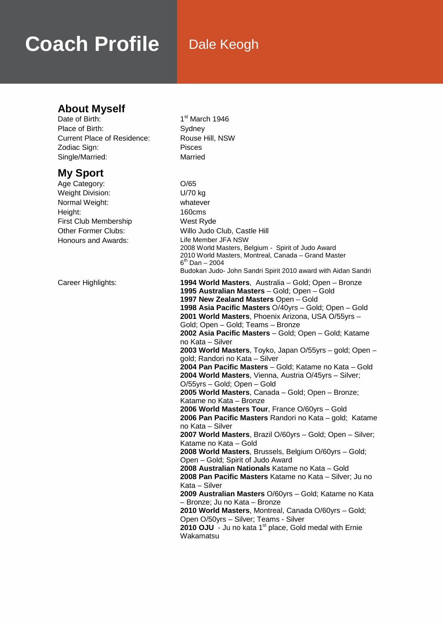# **Coach Profile** Dale Keogh

## **About Myself**<br>Date of Birth:

Place of Birth: Sydney Current Place of Residence: Rouse Hill, NSW Zodiac Sign: Pisces Single/Married: Married

### **My Sport**

Age Category: 0/65 Weight Division: U/70 kg Normal Weight: whatever Height: 160cms First Club Membership West Ryde Honours and Awards: Life Member JFA NSW

 $1<sup>st</sup>$  March 1946

Other Former Clubs: Willo Judo Club, Castle Hill 2008 World Masters, Belgium - Spirit of Judo Award 2010 World Masters, Montreal, Canada – Grand Master  $6^{th}$  Dan – 2004 Budokan Judo- John Sandri Spirit 2010 award with Aidan Sandri Career Highlights: **1994 World Masters**, Australia – Gold; Open – Bronze **1995 Australian Masters** – Gold; Open – Gold **1997 New Zealand Masters** Open – Gold **1998 Asia Pacific Masters** O/40yrs – Gold; Open – Gold **2001 World Masters**, Phoenix Arizona, USA O/55yrs – Gold; Open – Gold; Teams – Bronze **2002 Asia Pacific Masters** – Gold; Open – Gold; Katame no Kata – Silver **2003 World Masters**, Toyko, Japan O/55yrs – gold; Open – gold; Randori no Kata – Silver **2004 Pan Pacific Masters** – Gold; Katame no Kata – Gold **2004 World Masters**, Vienna, Austria O/45yrs – Silver; O/55yrs – Gold; Open – Gold **2005 World Masters**, Canada – Gold; Open – Bronze; Katame no Kata – Bronze **2006 World Masters Tour**, France O/60yrs – Gold **2006 Pan Pacific Masters** Randori no Kata – gold; Katame no Kata – Silver **2007 World Masters**, Brazil O/60yrs – Gold; Open – Silver; Katame no Kata – Gold **2008 World Masters**, Brussels, Belgium O/60yrs – Gold; Open – Gold; Spirit of Judo Award **2008 Australian Nationals** Katame no Kata – Gold **2008 Pan Pacific Masters** Katame no Kata – Silver; Ju no Kata – Silver **2009 Australian Masters** O/60yrs – Gold; Katame no Kata – Bronze; Ju no Kata – Bronze **2010 World Masters**, Montreal, Canada O/60yrs – Gold; Open O/50yrs – Silver; Teams - Silver **2010 OJU** - Ju no kata 1<sup>st</sup> place, Gold medal with Ernie **Wakamatsu**